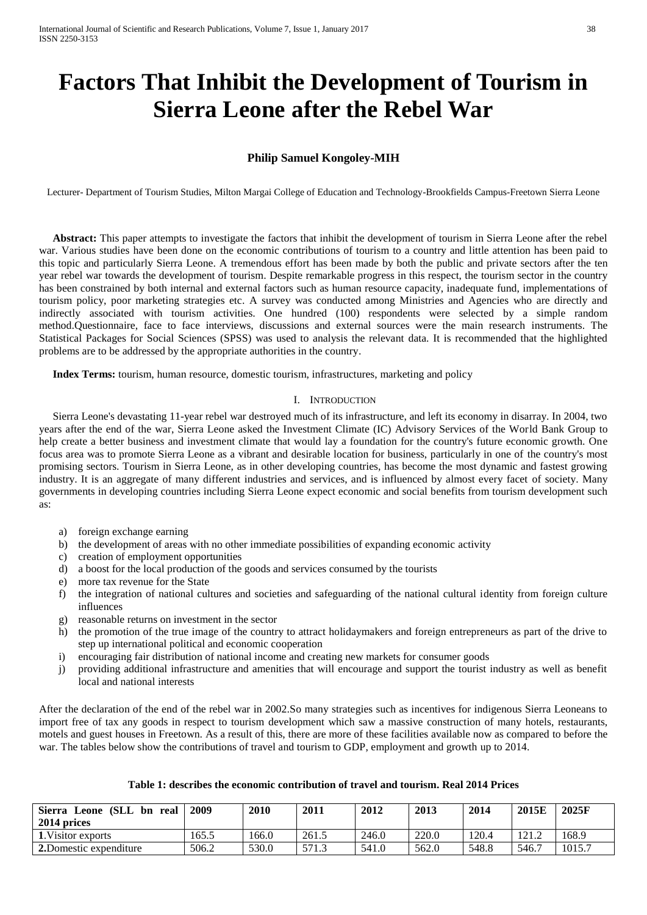# **Factors That Inhibit the Development of Tourism in Sierra Leone after the Rebel War**

# **Philip Samuel Kongoley-MIH**

Lecturer- Department of Tourism Studies, Milton Margai College of Education and Technology-Brookfields Campus-Freetown Sierra Leone

 **Abstract:** This paper attempts to investigate the factors that inhibit the development of tourism in Sierra Leone after the rebel war. Various studies have been done on the economic contributions of tourism to a country and little attention has been paid to this topic and particularly Sierra Leone. A tremendous effort has been made by both the public and private sectors after the ten year rebel war towards the development of tourism. Despite remarkable progress in this respect, the tourism sector in the country has been constrained by both internal and external factors such as human resource capacity, inadequate fund, implementations of tourism policy, poor marketing strategies etc. A survey was conducted among Ministries and Agencies who are directly and indirectly associated with tourism activities. One hundred (100) respondents were selected by a simple random method.Questionnaire, face to face interviews, discussions and external sources were the main research instruments. The Statistical Packages for Social Sciences (SPSS) was used to analysis the relevant data. It is recommended that the highlighted problems are to be addressed by the appropriate authorities in the country.

 **Index Terms:** tourism, human resource, domestic tourism, infrastructures, marketing and policy

#### I. INTRODUCTION

 Sierra Leone's devastating 11-year rebel war destroyed much of its infrastructure, and left its economy in disarray. In 2004, two years after the end of the war, Sierra Leone asked the Investment Climate (IC) Advisory Services of the World Bank Group to help create a better business and investment climate that would lay a foundation for the country's future economic growth. One focus area was to promote Sierra Leone as a vibrant and desirable location for business, particularly in one of the country's most promising sectors. Tourism in Sierra Leone, as in other developing countries, has become the most dynamic and fastest growing industry. It is an aggregate of many different industries and services, and is influenced by almost every facet of society. Many governments in developing countries including Sierra Leone expect economic and social benefits from tourism development such as:

- a) foreign exchange earning
- b) the development of areas with no other immediate possibilities of expanding economic activity
- c) creation of employment opportunities
- d) a boost for the local production of the goods and services consumed by the tourists
- e) more tax revenue for the State
- f) the integration of national cultures and societies and safeguarding of the national cultural identity from foreign culture influences
- g) reasonable returns on investment in the sector
- h) the promotion of the true image of the country to attract holidaymakers and foreign entrepreneurs as part of the drive to step up international political and economic cooperation
- i) encouraging fair distribution of national income and creating new markets for consumer goods
- j) providing additional infrastructure and amenities that will encourage and support the tourist industry as well as benefit local and national interests

After the declaration of the end of the rebel war in 2002.So many strategies such as incentives for indigenous Sierra Leoneans to import free of tax any goods in respect to tourism development which saw a massive construction of many hotels, restaurants, motels and guest houses in Freetown. As a result of this, there are more of these facilities available now as compared to before the war. The tables below show the contributions of travel and tourism to GDP, employment and growth up to 2014.

| Leone (SLL<br><b>Sierra</b><br>bn real<br>2014 prices | 2009  | 2010  | 2011  | 2012  | 2013  | 2014  | 2015E | 2025F  |
|-------------------------------------------------------|-------|-------|-------|-------|-------|-------|-------|--------|
| 1. Visitor exports                                    | 165.5 | 166.0 | 261.5 | 246.0 | 220.0 | 120.4 | 121.2 | 168.9  |
| 2. Domestic expenditure                               | 506.2 | 530.0 | 571.3 | 541.0 | 562.0 | 548.8 | 546.7 | 1015.7 |

#### **Table 1: describes the economic contribution of travel and tourism. Real 2014 Prices**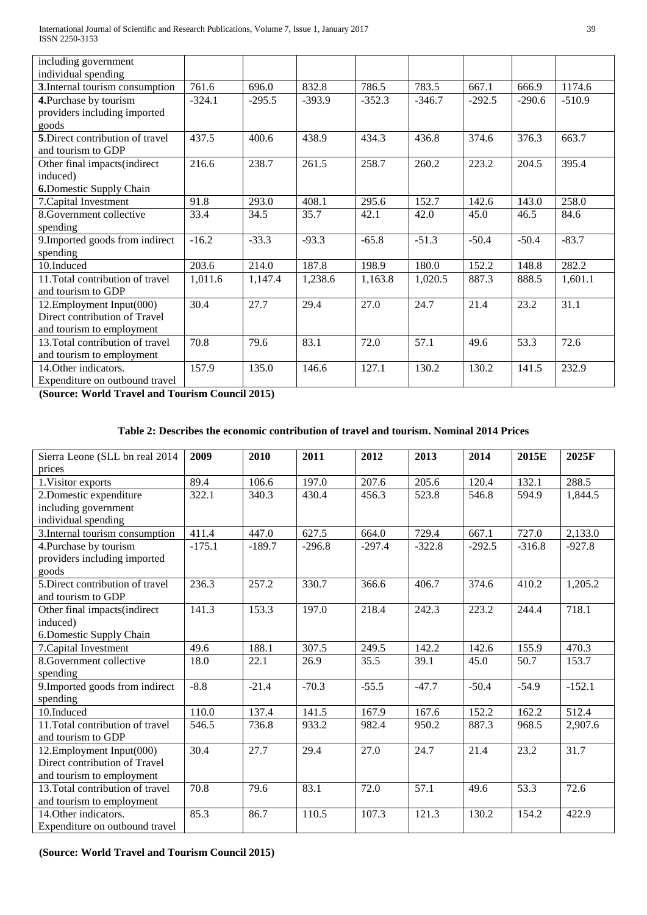| including government                                   |          |          |          |          |          |          |          |          |
|--------------------------------------------------------|----------|----------|----------|----------|----------|----------|----------|----------|
| individual spending                                    |          |          |          |          |          |          |          |          |
| 3. Internal tourism consumption                        | 761.6    | 696.0    | 832.8    | 786.5    | 783.5    | 667.1    | 666.9    | 1174.6   |
| 4. Purchase by tourism<br>providers including imported | $-324.1$ | $-295.5$ | $-393.9$ | $-352.3$ | $-346.7$ | $-292.5$ | $-290.6$ | $-510.9$ |
| goods                                                  |          |          |          |          |          |          |          |          |
| 5. Direct contribution of travel                       | 437.5    | 400.6    | 438.9    | 434.3    | 436.8    | 374.6    | 376.3    | 663.7    |
| and tourism to GDP                                     |          |          |          |          |          |          |          |          |
| Other final impacts(indirect                           | 216.6    | 238.7    | 261.5    | 258.7    | 260.2    | 223.2    | 204.5    | 395.4    |
| induced)                                               |          |          |          |          |          |          |          |          |
| <b>6.</b> Domestic Supply Chain                        |          |          |          |          |          |          |          |          |
| 7. Capital Investment                                  | 91.8     | 293.0    | 408.1    | 295.6    | 152.7    | 142.6    | 143.0    | 258.0    |
| 8. Government collective                               | 33.4     | 34.5     | 35.7     | 42.1     | 42.0     | 45.0     | 46.5     | 84.6     |
| spending                                               |          |          |          |          |          |          |          |          |
| 9. Imported goods from indirect                        | $-16.2$  | $-33.3$  | $-93.3$  | $-65.8$  | $-51.3$  | $-50.4$  | $-50.4$  | $-83.7$  |
| spending                                               |          |          |          |          |          |          |          |          |
| 10.Induced                                             | 203.6    | 214.0    | 187.8    | 198.9    | 180.0    | 152.2    | 148.8    | 282.2    |
| 11. Total contribution of travel                       | 1,011.6  | 1,147.4  | 1,238.6  | 1,163.8  | 1,020.5  | 887.3    | 888.5    | 1,601.1  |
| and tourism to GDP                                     |          |          |          |          |          |          |          |          |
| 12. Employment Input(000)                              | 30.4     | 27.7     | 29.4     | 27.0     | 24.7     | 21.4     | 23.2     | 31.1     |
| Direct contribution of Travel                          |          |          |          |          |          |          |          |          |
| and tourism to employment                              |          |          |          |          |          |          |          |          |
| 13. Total contribution of travel                       | 70.8     | 79.6     | 83.1     | 72.0     | 57.1     | 49.6     | 53.3     | 72.6     |
| and tourism to employment                              |          |          |          |          |          |          |          |          |
| 14. Other indicators.                                  | 157.9    | 135.0    | 146.6    | 127.1    | 130.2    | 130.2    | 141.5    | 232.9    |
| Expenditure on outbound travel                         |          |          |          |          |          |          |          |          |

**(Source: World Travel and Tourism Council 2015)**

## **Table 2: Describes the economic contribution of travel and tourism. Nominal 2014 Prices**

| Sierra Leone (SLL bn real 2014   | 2009     | 2010     | 2011     | 2012     | 2013     | 2014     | 2015E    | 2025F    |
|----------------------------------|----------|----------|----------|----------|----------|----------|----------|----------|
| prices                           |          |          |          |          |          |          |          |          |
| 1. Visitor exports               | 89.4     | 106.6    | 197.0    | 207.6    | 205.6    | 120.4    | 132.1    | 288.5    |
| 2. Domestic expenditure          | 322.1    | 340.3    | 430.4    | 456.3    | 523.8    | 546.8    | 594.9    | 1,844.5  |
| including government             |          |          |          |          |          |          |          |          |
| individual spending              |          |          |          |          |          |          |          |          |
| 3. Internal tourism consumption  | 411.4    | 447.0    | 627.5    | 664.0    | 729.4    | 667.1    | 727.0    | 2,133.0  |
| 4. Purchase by tourism           | $-175.1$ | $-189.7$ | $-296.8$ | $-297.4$ | $-322.8$ | $-292.5$ | $-316.8$ | $-927.8$ |
| providers including imported     |          |          |          |          |          |          |          |          |
| goods                            |          |          |          |          |          |          |          |          |
| 5. Direct contribution of travel | 236.3    | 257.2    | 330.7    | 366.6    | 406.7    | 374.6    | 410.2    | 1,205.2  |
| and tourism to GDP               |          |          |          |          |          |          |          |          |
| Other final impacts(indirect     | 141.3    | 153.3    | 197.0    | 218.4    | 242.3    | 223.2    | 244.4    | 718.1    |
| induced)                         |          |          |          |          |          |          |          |          |
| 6. Domestic Supply Chain         |          |          |          |          |          |          |          |          |
| 7. Capital Investment            | 49.6     | 188.1    | 307.5    | 249.5    | 142.2    | 142.6    | 155.9    | 470.3    |
| 8.Government collective          | 18.0     | 22.1     | 26.9     | 35.5     | 39.1     | 45.0     | 50.7     | 153.7    |
| spending                         |          |          |          |          |          |          |          |          |
| 9. Imported goods from indirect  | $-8.8$   | $-21.4$  | $-70.3$  | $-55.5$  | $-47.7$  | $-50.4$  | $-54.9$  | $-152.1$ |
| spending                         |          |          |          |          |          |          |          |          |
| 10.Induced                       | 110.0    | 137.4    | 141.5    | 167.9    | 167.6    | 152.2    | 162.2    | 512.4    |
| 11. Total contribution of travel | 546.5    | 736.8    | 933.2    | 982.4    | 950.2    | 887.3    | 968.5    | 2,907.6  |
| and tourism to GDP               |          |          |          |          |          |          |          |          |
| 12. Employment Input(000)        | 30.4     | 27.7     | 29.4     | 27.0     | 24.7     | 21.4     | 23.2     | 31.7     |
| Direct contribution of Travel    |          |          |          |          |          |          |          |          |
| and tourism to employment        |          |          |          |          |          |          |          |          |
| 13. Total contribution of travel | 70.8     | 79.6     | 83.1     | 72.0     | 57.1     | 49.6     | 53.3     | 72.6     |
| and tourism to employment        |          |          |          |          |          |          |          |          |
| 14. Other indicators.            | 85.3     | 86.7     | 110.5    | 107.3    | 121.3    | 130.2    | 154.2    | 422.9    |
| Expenditure on outbound travel   |          |          |          |          |          |          |          |          |

**(Source: World Travel and Tourism Council 2015)**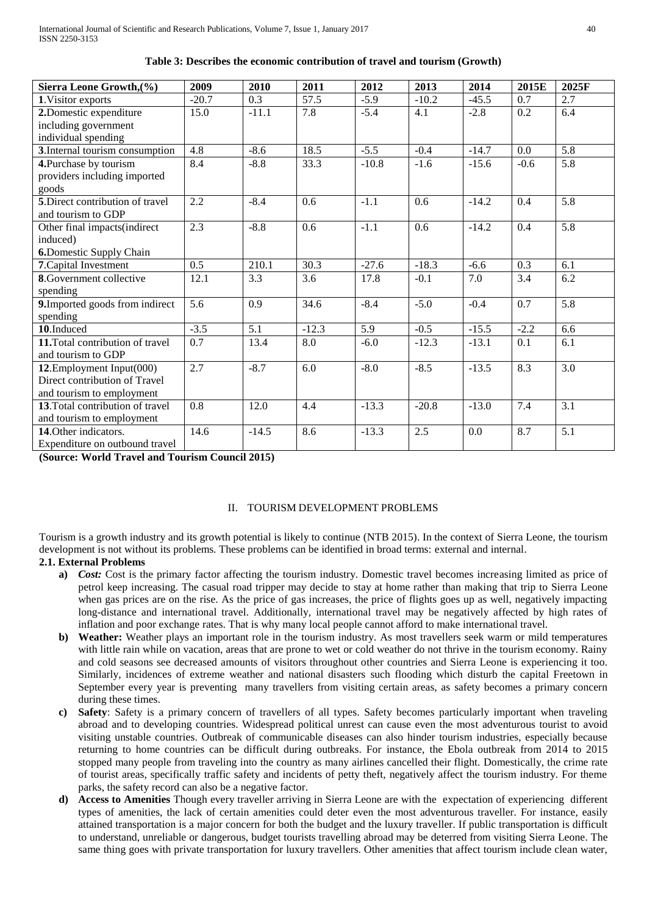| Sierra Leone Growth, (%)         | 2009             | 2010             | 2011              | 2012             | 2013    | 2014    | 2015E  | 2025F            |
|----------------------------------|------------------|------------------|-------------------|------------------|---------|---------|--------|------------------|
| 1. Visitor exports               | $-20.7$          | 0.3              | $\overline{57.5}$ | $-5.9$           | $-10.2$ | $-45.5$ | 0.7    | $\overline{2.7}$ |
| 2. Domestic expenditure          | 15.0             | $-11.1$          | 7.8               | $-5.4$           | 4.1     | $-2.8$  | 0.2    | 6.4              |
| including government             |                  |                  |                   |                  |         |         |        |                  |
| individual spending              |                  |                  |                   |                  |         |         |        |                  |
| 3. Internal tourism consumption  | $\overline{4.8}$ | $-8.6$           | 18.5              | $-5.5$           | $-0.4$  | $-14.7$ | 0.0    | $\overline{5.8}$ |
| 4. Purchase by tourism           | 8.4              | $-8.8$           | 33.3              | $-10.8$          | $-1.6$  | $-15.6$ | $-0.6$ | 5.8              |
| providers including imported     |                  |                  |                   |                  |         |         |        |                  |
| goods                            |                  |                  |                   |                  |         |         |        |                  |
| 5. Direct contribution of travel | 2.2              | $-8.4$           | 0.6               | $-1.1$           | 0.6     | $-14.2$ | 0.4    | 5.8              |
| and tourism to GDP               |                  |                  |                   |                  |         |         |        |                  |
| Other final impacts(indirect     | 2.3              | $-8.8$           | 0.6               | $-1.1$           | 0.6     | $-14.2$ | 0.4    | 5.8              |
| induced)                         |                  |                  |                   |                  |         |         |        |                  |
| <b>6.</b> Domestic Supply Chain  |                  |                  |                   |                  |         |         |        |                  |
| 7. Capital Investment            | 0.5              | 210.1            | 30.3              | $-27.6$          | $-18.3$ | $-6.6$  | 0.3    | 6.1              |
| <b>8</b> . Government collective | 12.1             | 3.3              | 3.6               | 17.8             | $-0.1$  | 7.0     | 3.4    | 6.2              |
| spending                         |                  |                  |                   |                  |         |         |        |                  |
| 9. Imported goods from indirect  | 5.6              | 0.9              | 34.6              | $-8.4$           | $-5.0$  | $-0.4$  | 0.7    | 5.8              |
| spending                         |                  |                  |                   |                  |         |         |        |                  |
| $10$ . Induced                   | $-3.5$           | $\overline{5.1}$ | $-12.3$           | $\overline{5.9}$ | $-0.5$  | $-15.5$ | $-2.2$ | 6.6              |
| 11. Total contribution of travel | 0.7              | 13.4             | 8.0               | $-6.0$           | $-12.3$ | $-13.1$ | 0.1    | 6.1              |
| and tourism to GDP               |                  |                  |                   |                  |         |         |        |                  |
| 12. Employment Input(000)        | 2.7              | $-8.7$           | 6.0               | $-8.0$           | $-8.5$  | $-13.5$ | 8.3    | $\overline{3.0}$ |
| Direct contribution of Travel    |                  |                  |                   |                  |         |         |        |                  |
| and tourism to employment        |                  |                  |                   |                  |         |         |        |                  |
| 13. Total contribution of travel | 0.8              | 12.0             | 4.4               | $-13.3$          | $-20.8$ | $-13.0$ | 7.4    | 3.1              |
| and tourism to employment        |                  |                  |                   |                  |         |         |        |                  |
| 14. Other indicators.            | 14.6             | $-14.5$          | 8.6               | $-13.3$          | 2.5     | 0.0     | 8.7    | 5.1              |
| Expenditure on outbound travel   |                  |                  |                   |                  |         |         |        |                  |

#### **Table 3: Describes the economic contribution of travel and tourism (Growth)**

**(Source: World Travel and Tourism Council 2015)**

## II. TOURISM DEVELOPMENT PROBLEMS

Tourism is a growth industry and its growth potential is likely to continue (NTB 2015). In the context of Sierra Leone, the tourism development is not without its problems. These problems can be identified in broad terms: external and internal.

#### **2.1. External Problems**

- **a)** *Cost:* Cost is the primary factor affecting the tourism industry. Domestic travel becomes increasing limited as price of petrol keep increasing. The casual road tripper may decide to stay at home rather than making that trip to Sierra Leone when gas prices are on the rise. As the price of gas increases, the price of flights goes up as well, negatively impacting long-distance and international travel. Additionally, international travel may be negatively affected by high rates of inflation and poor exchange rates. That is why many local people cannot afford to make international travel.
- **b) Weather:** Weather plays an important role in the tourism industry. As most travellers seek warm or mild temperatures with little rain while on vacation, areas that are prone to wet or cold weather do not thrive in the tourism economy. Rainy and cold seasons see decreased amounts of visitors throughout other countries and Sierra Leone is experiencing it too. Similarly, incidences of extreme weather and national disasters such flooding which disturb the capital Freetown in September every year is preventing many travellers from visiting certain areas, as safety becomes a primary concern during these times.
- **c) Safety**: Safety is a primary concern of travellers of all types. Safety becomes particularly important when traveling abroad and to developing countries. Widespread political unrest can cause even the most adventurous tourist to avoid visiting unstable countries. Outbreak of communicable diseases can also hinder tourism industries, especially because returning to home countries can be difficult during outbreaks. For instance, the Ebola outbreak from 2014 to 2015 stopped many people from traveling into the country as many airlines cancelled their flight. Domestically, the crime rate of tourist areas, specifically traffic safety and incidents of petty theft, negatively affect the tourism industry. For theme parks, the safety record can also be a negative factor.
- **d) Access to Amenities** Though every traveller arriving in Sierra Leone are with the expectation of experiencing different types of amenities, the lack of certain amenities could deter even the most adventurous traveller. For instance, easily attained transportation is a major concern for both the budget and the luxury traveller. If public transportation is difficult to understand, unreliable or dangerous, budget tourists travelling abroad may be deterred from visiting Sierra Leone. The same thing goes with private transportation for luxury travellers. Other amenities that affect tourism include clean water,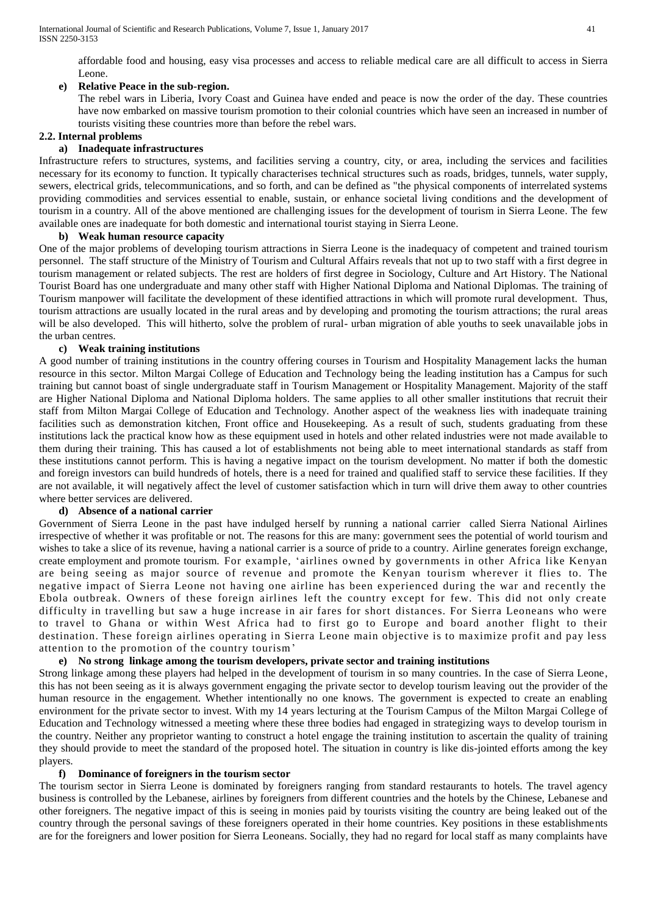affordable food and housing, easy visa processes and access to reliable medical care are all difficult to access in Sierra Leone.

# **e) Relative Peace in the sub-region.**

The rebel wars in Liberia, Ivory Coast and Guinea have ended and peace is now the order of the day. These countries have now embarked on massive tourism promotion to their colonial countries which have seen an increased in number of tourists visiting these countries more than before the rebel wars.

# **2.2. Internal problems**

## **a) Inadequate infrastructures**

Infrastructure refers to structures, systems, and facilities serving a country, city, or area, including the services and facilities necessary for its [economy](https://en.wikipedia.org/wiki/Economy) to function. It typically characterises technical structures such as [roads,](https://en.wikipedia.org/wiki/Road) [bridges,](https://en.wikipedia.org/wiki/Bridge) [tunnels,](https://en.wikipedia.org/wiki/Tunnel) [water supply,](https://en.wikipedia.org/wiki/Water_supply) [sewers,](https://en.wikipedia.org/wiki/Sewage) [electrical grids,](https://en.wikipedia.org/wiki/Electrical_grid) [telecommunications,](https://en.wikipedia.org/wiki/Telecommunication) and so forth, and can be defined as "the physical components of interrelated systems providing [commodities](https://en.wikipedia.org/wiki/Commodities) and services essential to enable, sustain, or enhance societal [living conditions](https://en.wikipedia.org/wiki/Quality_of_life) and the development of tourism in a country. All of the above mentioned are challenging issues for the development of tourism in Sierra Leone. The few available ones are inadequate for both domestic and international tourist staying in Sierra Leone.

## **b) Weak human resource capacity**

One of the major problems of developing tourism attractions in Sierra Leone is the inadequacy of competent and trained tourism personnel. The staff structure of the Ministry of Tourism and Cultural Affairs reveals that not up to two staff with a first degree in tourism management or related subjects. The rest are holders of first degree in Sociology, Culture and Art History. The National Tourist Board has one undergraduate and many other staff with Higher National Diploma and National Diplomas. The training of Tourism manpower will facilitate the development of these identified attractions in which will promote rural development. Thus, tourism attractions are usually located in the rural areas and by developing and promoting the tourism attractions; the rural areas will be also developed. This will hitherto, solve the problem of rural- urban migration of able youths to seek unavailable jobs in the urban centres.

# **c) Weak training institutions**

A good number of training institutions in the country offering courses in Tourism and Hospitality Management lacks the human resource in this sector. Milton Margai College of Education and Technology being the leading institution has a Campus for such training but cannot boast of single undergraduate staff in Tourism Management or Hospitality Management. Majority of the staff are Higher National Diploma and National Diploma holders. The same applies to all other smaller institutions that recruit their staff from Milton Margai College of Education and Technology. Another aspect of the weakness lies with inadequate training facilities such as demonstration kitchen, Front office and Housekeeping. As a result of such, students graduating from these institutions lack the practical know how as these equipment used in hotels and other related industries were not made available to them during their training. This has caused a lot of establishments not being able to meet international standards as staff from these institutions cannot perform. This is having a negative impact on the tourism development. No matter if both the domestic and foreign investors can build hundreds of hotels, there is a need for trained and qualified staff to service these facilities. If they are not available, it will negatively affect the level of customer satisfaction which in turn will drive them away to other countries where better services are delivered.

# **d) Absence of a national carrier**

Government of Sierra Leone in the past have indulged herself by running a national carrier called Sierra National Airlines irrespective of whether it was profitable or not. The reasons for this are many: government sees the potential of world tourism and wishes to take a slice of its revenue, having a national carrier is a source of pride to a country. Airline generates foreign exchange, create employment and promote tourism. For example, 'airlines owned by governments in other Africa like Kenyan are being seeing as major source of revenue and promote the Kenyan tourism wherever it flies to. The negative impact of Sierra Leone not having one airline has been experienced during the war and recently the Ebola outbreak. Owners of these foreign airlines left the country except for few. This did not only create difficulty in travelling but saw a huge increase in air fares for short distances. For Sierra Leoneans who were to travel to Ghana or within West Africa had to first go to Europe and board another flight to their destination. These foreign airlines operating in Sierra Leone main objective is to maximize profit and pay less attention to the promotion of the country tourism'

# **e) No strong linkage among the tourism developers, private sector and training institutions**

Strong linkage among these players had helped in the development of tourism in so many countries. In the case of Sierra Leone, this has not been seeing as it is always government engaging the private sector to develop tourism leaving out the provider of the human resource in the engagement. Whether intentionally no one knows. The government is expected to create an enabling environment for the private sector to invest. With my 14 years lecturing at the Tourism Campus of the Milton Margai College of Education and Technology witnessed a meeting where these three bodies had engaged in strategizing ways to develop tourism in the country. Neither any proprietor wanting to construct a hotel engage the training institution to ascertain the quality of training they should provide to meet the standard of the proposed hotel. The situation in country is like dis-jointed efforts among the key players.

# **f) Dominance of foreigners in the tourism sector**

The tourism sector in Sierra Leone is dominated by foreigners ranging from standard restaurants to hotels. The travel agency business is controlled by the Lebanese, airlines by foreigners from different countries and the hotels by the Chinese, Lebanese and other foreigners. The negative impact of this is seeing in monies paid by tourists visiting the country are being leaked out of the country through the personal savings of these foreigners operated in their home countries. Key positions in these establishments are for the foreigners and lower position for Sierra Leoneans. Socially, they had no regard for local staff as many complaints have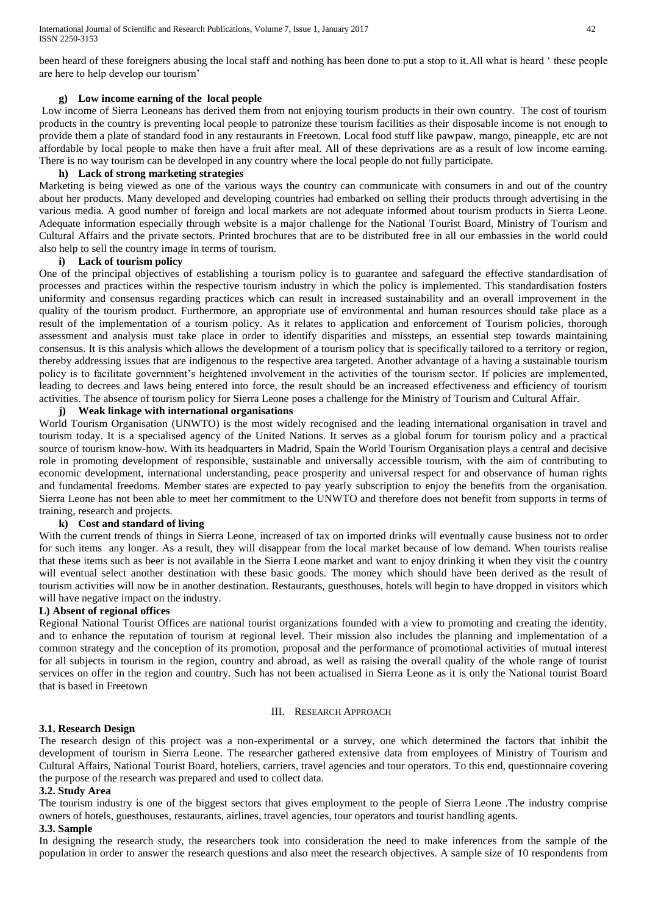been heard of these foreigners abusing the local staff and nothing has been done to put a stop to it.All what is heard ' these people are here to help develop our tourism'

#### **g) Low income earning of the local people**

Low income of Sierra Leoneans has derived them from not enjoying tourism products in their own country. The cost of tourism products in the country is preventing local people to patronize these tourism facilities as their disposable income is not enough to provide them a plate of standard food in any restaurants in Freetown. Local food stuff like pawpaw, mango, pineapple, etc are not affordable by local people to make then have a fruit after meal. All of these deprivations are as a result of low income earning. There is no way tourism can be developed in any country where the local people do not fully participate.

#### **h) Lack of strong marketing strategies**

Marketing is being viewed as one of the various ways the country can communicate with consumers in and out of the country about her products. Many developed and developing countries had embarked on selling their products through advertising in the various media. A good number of foreign and local markets are not adequate informed about tourism products in Sierra Leone. Adequate information especially through website is a major challenge for the National Tourist Board, Ministry of Tourism and Cultural Affairs and the private sectors. Printed brochures that are to be distributed free in all our embassies in the world could also help to sell the country image in terms of tourism.

#### **i) Lack of tourism policy**

One of the principal objectives of establishing a tourism policy is to guarantee and safeguard the effective standardisation of processes and practices within the respective tourism industry in which the policy is implemented. This standardisation fosters uniformity and consensus regarding practices which can result in increased sustainability and an overall improvement in the quality of the tourism product. Furthermore, an appropriate use of environmental and human resources should take place as a result of the implementation of a tourism policy. As it relates to application and enforcement of Tourism policies, thorough assessment and analysis must take place in order to identify disparities and missteps, an essential step towards maintaining consensus. It is this analysis which allows the development of a tourism policy that is specifically tailored to a territory or region, thereby addressing issues that are indigenous to the respective area targeted. Another advantage of a having a sustainable tourism policy is to facilitate government's heightened involvement in the activities of the tourism sector. If policies are implemented, leading to decrees and laws being entered into force, the result should be an increased effectiveness and efficiency of tourism activities. The absence of tourism policy for Sierra Leone poses a challenge for the Ministry of Tourism and Cultural Affair.

## **j) Weak linkage with international organisations**

[World Tourism Organisation](http://www.world-tourism.org/) (UNWTO) is the most widely recognised and the leading international organisation in travel and tourism today. It is a specialised agency of the United Nations. It serves as a global forum for tourism policy and a practical source of tourism know-how. With its headquarters in Madrid, Spain the World Tourism Organisation plays a central and decisive role in promoting development of responsible, sustainable and universally accessible tourism, with the aim of contributing to economic development, international understanding, peace prosperity and universal respect for and observance of human rights and fundamental freedoms. Member states are expected to pay yearly subscription to enjoy the benefits from the organisation. Sierra Leone has not been able to meet her commitment to the UNWTO and therefore does not benefit from supports in terms of training, research and projects.

#### **k) Cost and standard of living**

With the current trends of things in Sierra Leone, increased of tax on imported drinks will eventually cause business not to order for such items any longer. As a result, they will disappear from the local market because of low demand. When tourists realise that these items such as beer is not available in the Sierra Leone market and want to enjoy drinking it when they visit the country will eventual select another destination with these basic goods. The money which should have been derived as the result of tourism activities will now be in another destination. Restaurants, guesthouses, hotels will begin to have dropped in visitors which will have negative impact on the industry.

## **L) Absent of regional offices**

Regional National Tourist Offices are national tourist organizations founded with a view to promoting and creating the identity, and to enhance the reputation of tourism at regional level. Their mission also includes the planning and implementation of a common strategy and the conception of its promotion, proposal and the performance of promotional activities of mutual interest for all subjects in tourism in the region, country and abroad, as well as raising the overall quality of the whole range of tourist services on offer in the region and country. Such has not been actualised in Sierra Leone as it is only the National tourist Board that is based in Freetown

#### III. RESEARCH APPROACH

#### **3.1. Research Design**

The research design of this project was a non-experimental or a survey, one which determined the factors that inhibit the development of tourism in Sierra Leone. The researcher gathered extensive data from employees of Ministry of Tourism and Cultural Affairs, National Tourist Board, hoteliers, carriers, travel agencies and tour operators. To this end, questionnaire covering the purpose of the research was prepared and used to collect data.

#### **3.2. Study Area**

The tourism industry is one of the biggest sectors that gives employment to the people of Sierra Leone .The industry comprise owners of hotels, guesthouses, restaurants, airlines, travel agencies, tour operators and tourist handling agents.

#### **3.3. Sample**

In designing the research study, the researchers took into consideration the need to make inferences from the sample of the population in order to answer the research questions and also meet the research objectives. A sample size of 10 respondents from